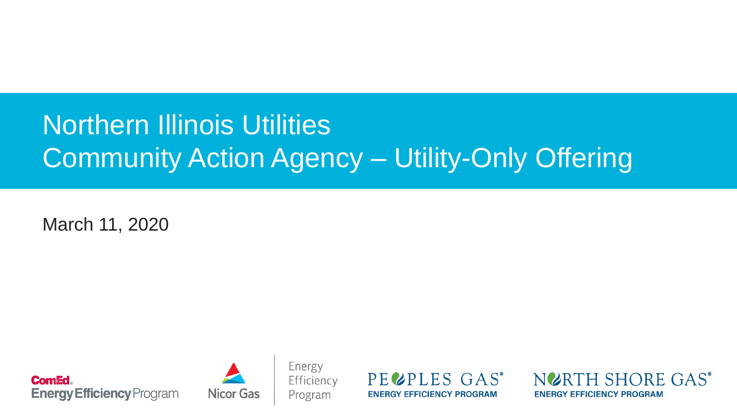# Northern Illinois Utilities Community Action Agency – Utility-Only Offering

March 11, 2020





Energy Efficiency Program

PECPLES GAS<sup>®</sup> **ENERGY EFFICIENCY PROGRAM** 

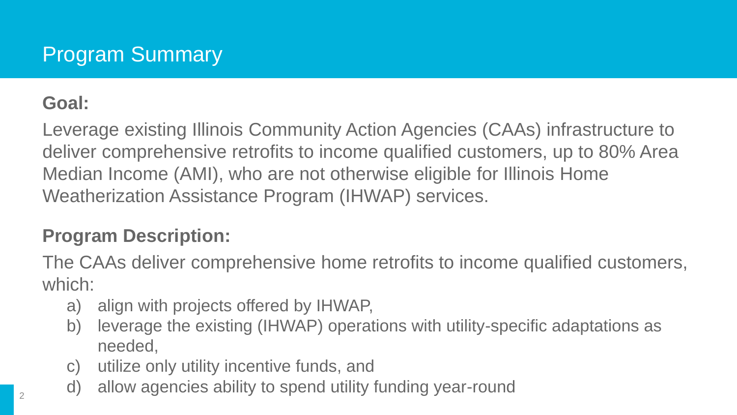### **Goal:**

Leverage existing Illinois Community Action Agencies (CAAs) infrastructure to deliver comprehensive retrofits to income qualified customers, up to 80% Area Median Income (AMI), who are not otherwise eligible for Illinois Home Weatherization Assistance Program (IHWAP) services.

### **Program Description:**

The CAAs deliver comprehensive home retrofits to income qualified customers, which:

- a) align with projects offered by IHWAP,
- b) leverage the existing (IHWAP) operations with utility-specific adaptations as needed,
- c) utilize only utility incentive funds, and
- d) allow agencies ability to spend utility funding year-round <sup>2</sup>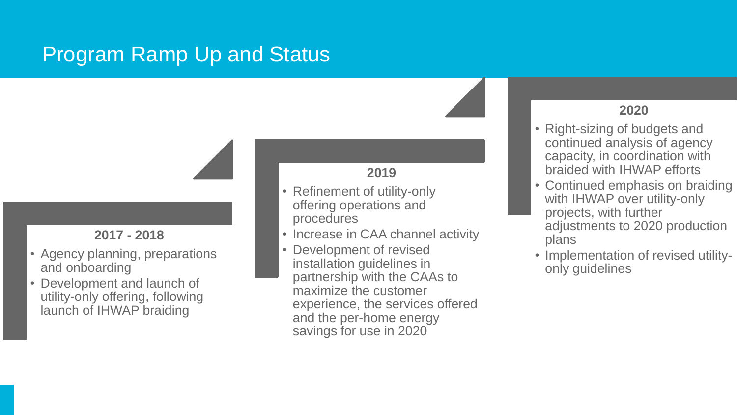## Program Ramp Up and Status

#### **2017 - 2018**

- Agency planning, preparations and onboarding
- Development and launch of utility-only offering, following launch of IHWAP braiding

#### **2019**

- Refinement of utility-only offering operations and procedures
- Increase in CAA channel activity
- Development of revised installation guidelines in partnership with the CAAs to maximize the customer experience, the services offered and the per-home energy savings for use in 2020

#### **2020**

- Right-sizing of budgets and continued analysis of agency capacity, in coordination with braided with IHWAP efforts
- Continued emphasis on braiding with IHWAP over utility-only projects, with further adjustments to 2020 production plans
- Implementation of revised utilityonly guidelines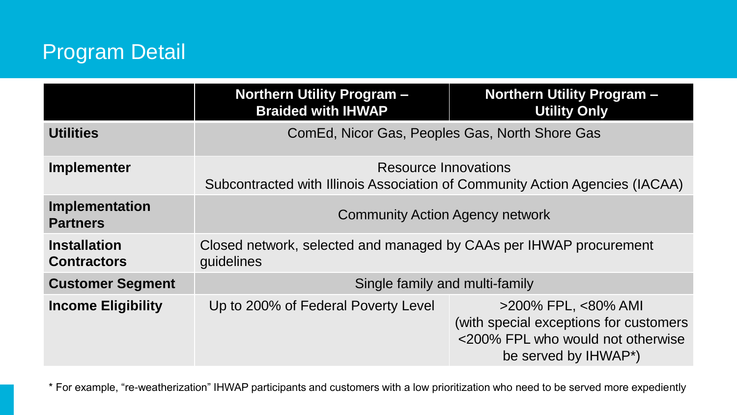## Program Detail

|                                           | <b>Northern Utility Program -</b><br><b>Braided with IHWAP</b>                                       | <b>Northern Utility Program -</b><br><b>Utility Only</b>                                                                          |  |
|-------------------------------------------|------------------------------------------------------------------------------------------------------|-----------------------------------------------------------------------------------------------------------------------------------|--|
| <b>Utilities</b>                          | ComEd, Nicor Gas, Peoples Gas, North Shore Gas                                                       |                                                                                                                                   |  |
| Implementer                               | Resource Innovations<br>Subcontracted with Illinois Association of Community Action Agencies (IACAA) |                                                                                                                                   |  |
| Implementation<br><b>Partners</b>         | <b>Community Action Agency network</b>                                                               |                                                                                                                                   |  |
| <b>Installation</b><br><b>Contractors</b> | Closed network, selected and managed by CAAs per IHWAP procurement<br>guidelines                     |                                                                                                                                   |  |
| <b>Customer Segment</b>                   | Single family and multi-family                                                                       |                                                                                                                                   |  |
| <b>Income Eligibility</b>                 | Up to 200% of Federal Poverty Level                                                                  | $>$ 200% FPL, $<$ 80% AMI<br>(with special exceptions for customers)<br><200% FPL who would not otherwise<br>be served by IHWAP*) |  |

\* For example, "re-weatherization" IHWAP participants and customers with a low prioritization who need to be served more expediently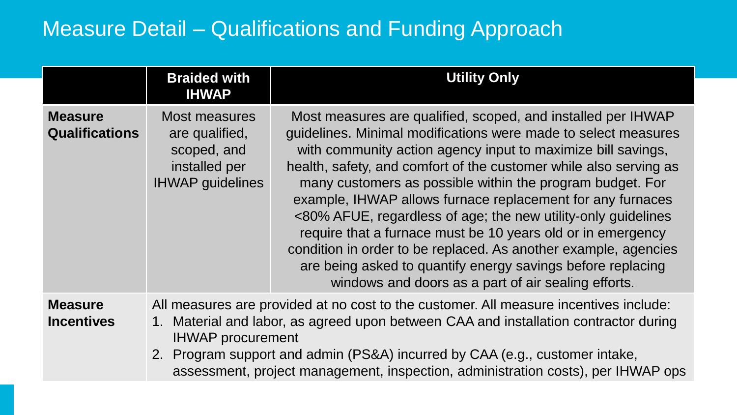## Measure Detail – Qualifications and Funding Approach

|                                         | <b>Braided with</b><br><b>IHWAP</b>                                                                                                                                                                                                                                                                                                                                          | <b>Utility Only</b>                                                                                                                                                                                                                                                                                                                                                                                                                                                                                                                                                                                                                                                                                                     |  |
|-----------------------------------------|------------------------------------------------------------------------------------------------------------------------------------------------------------------------------------------------------------------------------------------------------------------------------------------------------------------------------------------------------------------------------|-------------------------------------------------------------------------------------------------------------------------------------------------------------------------------------------------------------------------------------------------------------------------------------------------------------------------------------------------------------------------------------------------------------------------------------------------------------------------------------------------------------------------------------------------------------------------------------------------------------------------------------------------------------------------------------------------------------------------|--|
| <b>Measure</b><br><b>Qualifications</b> | Most measures<br>are qualified,<br>scoped, and<br>installed per<br><b>IHWAP</b> guidelines                                                                                                                                                                                                                                                                                   | Most measures are qualified, scoped, and installed per IHWAP<br>guidelines. Minimal modifications were made to select measures<br>with community action agency input to maximize bill savings,<br>health, safety, and comfort of the customer while also serving as<br>many customers as possible within the program budget. For<br>example, IHWAP allows furnace replacement for any furnaces<br><80% AFUE, regardless of age; the new utility-only guidelines<br>require that a furnace must be 10 years old or in emergency<br>condition in order to be replaced. As another example, agencies<br>are being asked to quantify energy savings before replacing<br>windows and doors as a part of air sealing efforts. |  |
| <b>Measure</b><br><b>Incentives</b>     | All measures are provided at no cost to the customer. All measure incentives include:<br>1. Material and labor, as agreed upon between CAA and installation contractor during<br><b>IHWAP</b> procurement<br>2. Program support and admin (PS&A) incurred by CAA (e.g., customer intake,<br>assessment, project management, inspection, administration costs), per IHWAP ops |                                                                                                                                                                                                                                                                                                                                                                                                                                                                                                                                                                                                                                                                                                                         |  |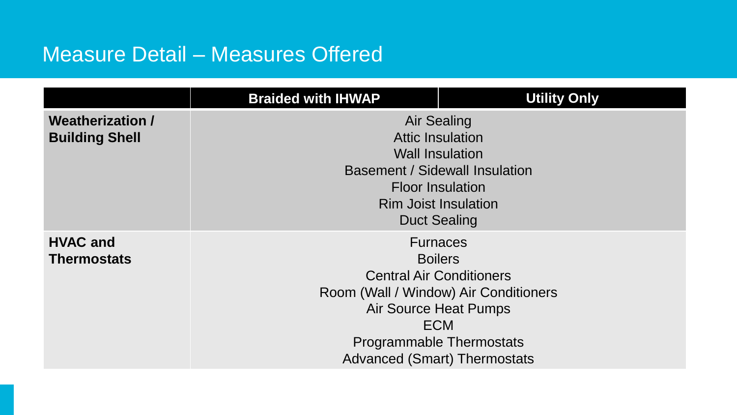## Measure Detail – Measures Offered

|                         | <b>Braided with IHWAP</b>                                            | <b>Utility Only</b>                   |  |  |
|-------------------------|----------------------------------------------------------------------|---------------------------------------|--|--|
| <b>Weatherization /</b> | <b>Air Sealing</b>                                                   |                                       |  |  |
| <b>Building Shell</b>   | <b>Attic Insulation</b>                                              |                                       |  |  |
|                         | <b>Wall Insulation</b>                                               |                                       |  |  |
|                         | <b>Basement / Sidewall Insulation</b>                                |                                       |  |  |
|                         | <b>Floor Insulation</b><br><b>Rim Joist Insulation</b>               |                                       |  |  |
|                         |                                                                      |                                       |  |  |
|                         | <b>Duct Sealing</b>                                                  |                                       |  |  |
| <b>HVAC and</b>         | <b>Furnaces</b><br><b>Boilers</b><br><b>Central Air Conditioners</b> |                                       |  |  |
| <b>Thermostats</b>      |                                                                      |                                       |  |  |
|                         |                                                                      |                                       |  |  |
|                         |                                                                      | Room (Wall / Window) Air Conditioners |  |  |
|                         | <b>Air Source Heat Pumps</b>                                         |                                       |  |  |
|                         | <b>ECM</b>                                                           |                                       |  |  |
|                         | <b>Programmable Thermostats</b>                                      |                                       |  |  |
|                         |                                                                      | <b>Advanced (Smart) Thermostats</b>   |  |  |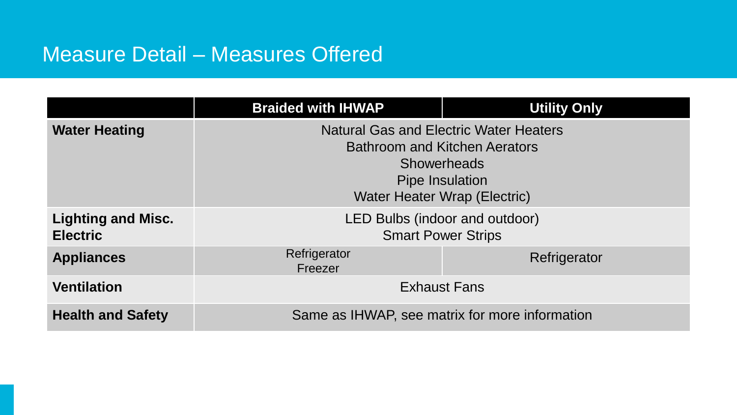## Measure Detail – Measures Offered

|                                              | <b>Braided with IHWAP</b>                                                                                                                                      | <b>Utility Only</b> |  |
|----------------------------------------------|----------------------------------------------------------------------------------------------------------------------------------------------------------------|---------------------|--|
| <b>Water Heating</b>                         | <b>Natural Gas and Electric Water Heaters</b><br><b>Bathroom and Kitchen Aerators</b><br><b>Showerheads</b><br>Pipe Insulation<br>Water Heater Wrap (Electric) |                     |  |
| <b>Lighting and Misc.</b><br><b>Electric</b> | LED Bulbs (indoor and outdoor)<br><b>Smart Power Strips</b>                                                                                                    |                     |  |
| <b>Appliances</b>                            | Refrigerator<br>Freezer                                                                                                                                        | Refrigerator        |  |
| <b>Ventilation</b>                           | <b>Exhaust Fans</b>                                                                                                                                            |                     |  |
| <b>Health and Safety</b>                     | Same as IHWAP, see matrix for more information                                                                                                                 |                     |  |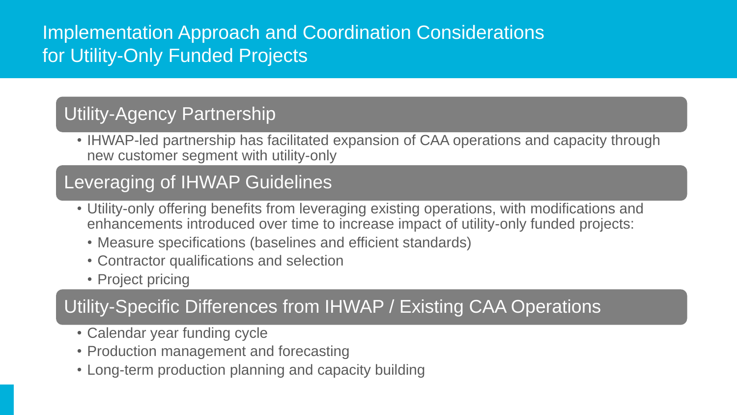### Implementation Approach and Coordination Considerations for Utility-Only Funded Projects

### Utility-Agency Partnership

• IHWAP-led partnership has facilitated expansion of CAA operations and capacity through new customer segment with utility-only

### Leveraging of IHWAP Guidelines

- Utility-only offering benefits from leveraging existing operations, with modifications and enhancements introduced over time to increase impact of utility-only funded projects:
	- Measure specifications (baselines and efficient standards)
	- Contractor qualifications and selection
	- Project pricing

### Utility-Specific Differences from IHWAP / Existing CAA Operations

- Calendar year funding cycle
- Production management and forecasting
- Long-term production planning and capacity building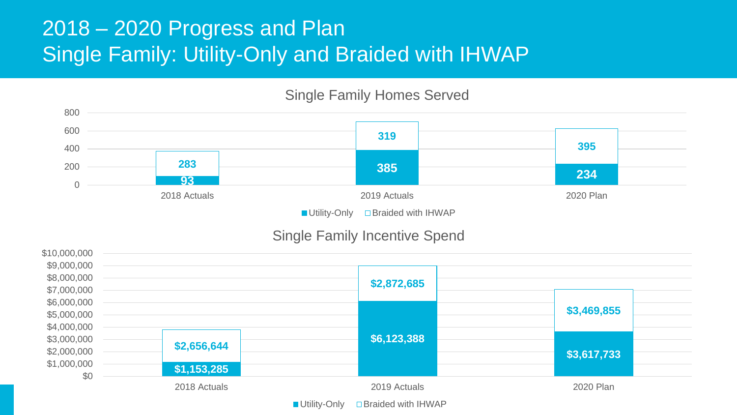## 2018 – 2020 Progress and Plan Single Family: Utility-Only and Braided with IHWAP

### Single Family Homes Served



#### Single Family Incentive Spend



 $\blacksquare$  Utility-Only  $\blacksquare$  Braided with IHWAP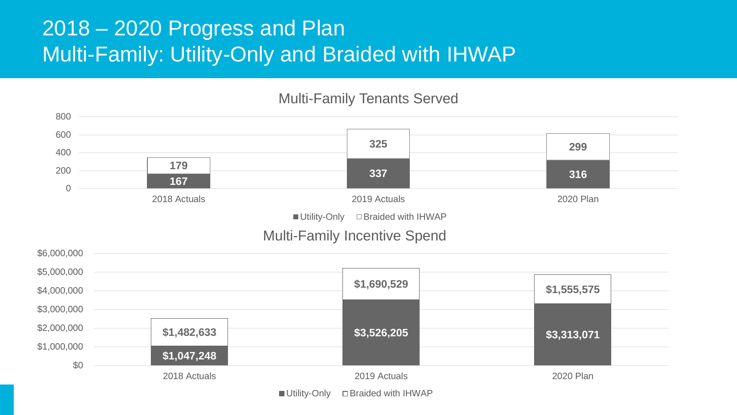## 2018 – 2020 Progress and Plan Multi-Family: Utility-Only and Braided with IHWAP

#### \$6,000,000 Multi-Family Incentive Spend **<sup>167</sup> <sup>337</sup> <sup>316</sup> 179 325 299** 0 200 400 600 800 2018 Actuals 2019 Actuals 2020 Plan Multi-Family Tenants Served  $\blacksquare$  Utility-Only  $\square$  Braided with IHWAP

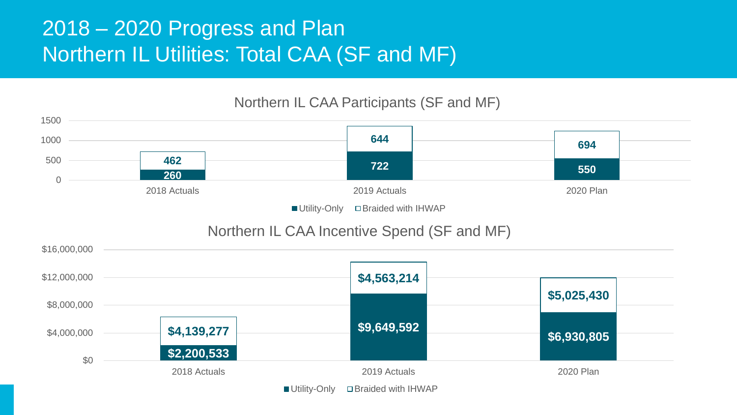## 2018 – 2020 Progress and Plan Northern IL Utilities: Total CAA (SF and MF)

#### Northern IL CAA Participants (SF and MF)